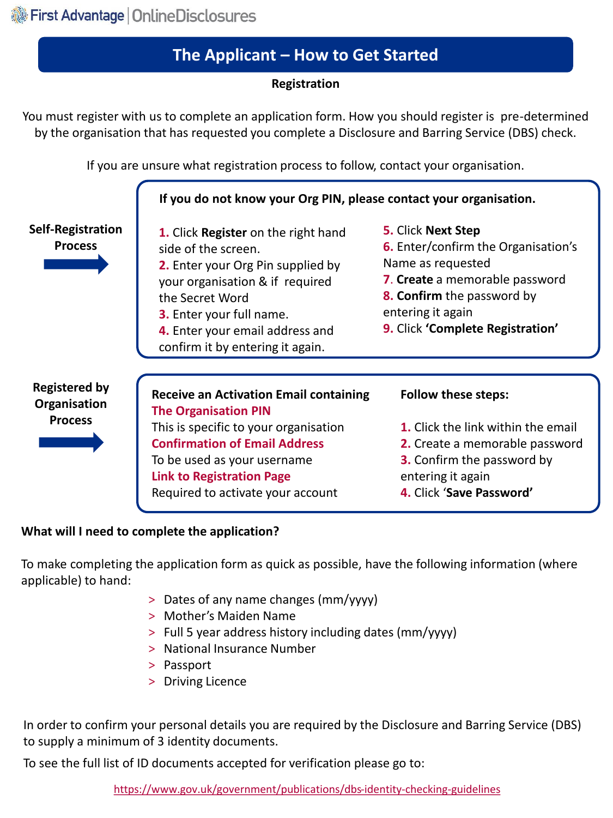# **The Applicant – How to Get Started**

## **Registration**

You must register with us to complete an application form. How you should register is pre-determined by the organisation that has requested you complete a Disclosure and Barring Service (DBS) check.

If you are unsure what registration process to follow, contact your organisation.



#### **What will I need to complete the application?**

To make completing the application form as quick as possible, have the following information (where applicable) to hand:

- > Dates of any name changes (mm/yyyy)
- > Mother's Maiden Name
- > Full 5 year address history including dates (mm/yyyy)
- > National Insurance Number
- > Passport
- > Driving Licence

In order to confirm your personal details you are required by the Disclosure and Barring Service (DBS) to supply a minimum of 3 identity documents.

To see the full list of ID documents accepted for verification please go to: